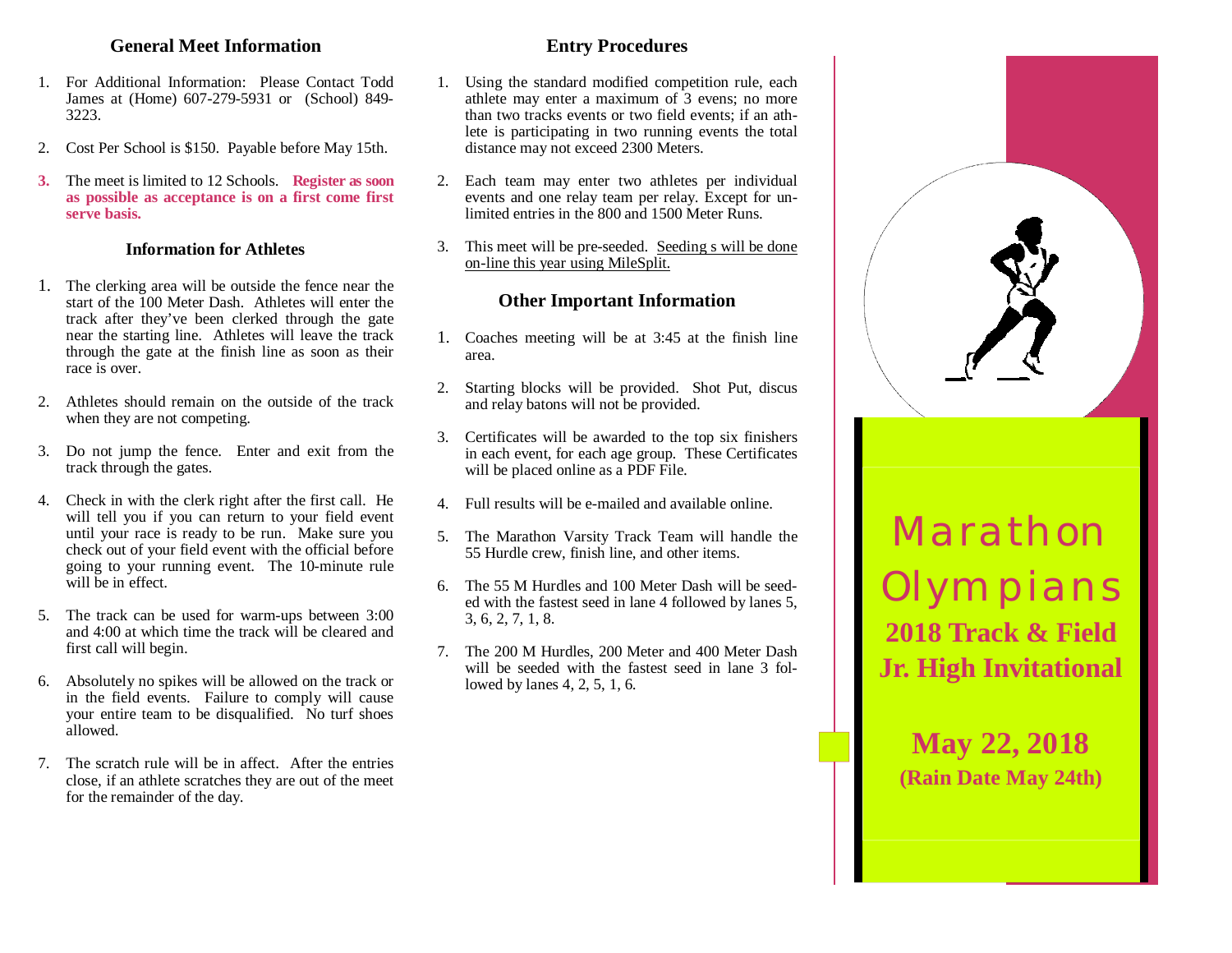#### **General Meet Information**

- 1. For Additional Information: Please Contact Todd James at (Home) 607-279-5931 or (School) 849- 3223.
- 2. Cost Per School is \$150. Payable before May 15th.
- **3.** The meet is limited to 12 Schools. **Register as soon as possible as acceptance is on a first come first serve basis.**

#### **Information for Athletes**

- 1. The clerking area will be outside the fence near the start of the 100 Meter Dash. Athletes will enter the track after they've been clerked through the gate near the starting line. Athletes will leave the track through the gate at the finish line as soon as their race is over.
- 2. Athletes should remain on the outside of the track when they are not competing.
- 3. Do not jump the fence. Enter and exit from the track through the gates.
- 4. Check in with the clerk right after the first call. He will tell you if you can return to your field event until your race is ready to be run. Make sure you check out of your field event with the official before going to your running event. The 10-minute rule will be in effect.
- 5. The track can be used for warm-ups between 3:00 and 4:00 at which time the track will be cleared and first call will begin.
- 6. Absolutely no spikes will be allowed on the track or in the field events. Failure to comply will cause your entire team to be disqualified. No turf shoes allowed.
- 7. The scratch rule will be in affect. After the entries close, if an athlete scratches they are out of the meet for the remainder of the day.

#### **Entry Procedures**

- 1. Using the standard modified competition rule, each athlete may enter a maximum of 3 evens; no more than two tracks events or two field events; if an athlete is participating in two running events the total distance may not exceed 2300 Meters.
- 2. Each team may enter two athletes per individual events and one relay team per relay. Except for unlimited entries in the 800 and 1500 Meter Runs.
- 3. This meet will be pre-seeded. Seeding s will be done on-line this year using MileSplit.

### **Other Important Information**

- 1. Coaches meeting will be at 3:45 at the finish line area.
- 2. Starting blocks will be provided. Shot Put, discus and relay batons will not be provided.
- 3. Certificates will be awarded to the top six finishers in each event, for each age group. These Certificates will be placed online as a PDF File.
- 4. Full results will be e-mailed and available online.
- 5. The Marathon Varsity Track Team will handle the 55 Hurdle crew, finish line, and other items.
- 6. The 55 M Hurdles and 100 Meter Dash will be seeded with the fastest seed in lane 4 followed by lanes 5, 3, 6, 2, 7, 1, 8.
- 7. The 200 M Hurdles, 200 Meter and 400 Meter Dash will be seeded with the fastest seed in lane 3 followed by lanes 4, 2, 5, 1, 6.



**May 22, 2018 (Rain Date May 24th)**